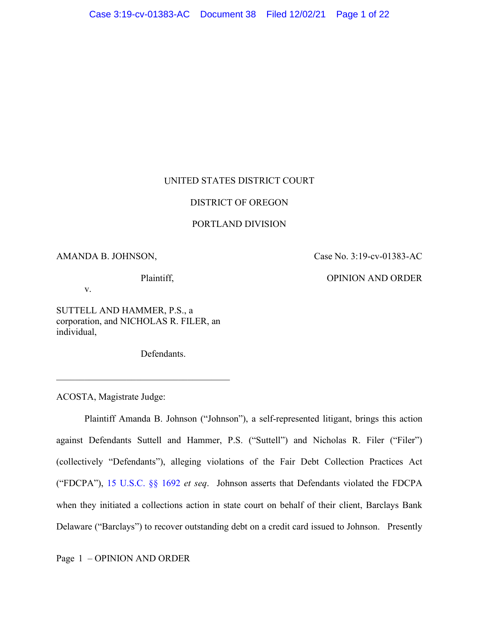# UNITED STATES DISTRICT COURT

# DISTRICT OF OREGON

# PORTLAND DIVISION

# AMANDA B. JOHNSON,

Case No. 3:19-cv-01383-AC

### Plaintiff,

OPINION AND ORDER

v.

SUTTELL AND HAMMER, P.S., a corporation, and NICHOLAS R. FILER, an individual,

\_\_\_\_\_\_\_\_\_\_\_\_\_\_\_\_\_\_\_\_\_\_\_\_\_\_\_\_\_\_\_\_\_\_\_\_\_

Defendants.

ACOSTA, Magistrate Judge:

Plaintiff Amanda B. Johnson ("Johnson"), a self-represented litigant, brings this action against Defendants Suttell and Hammer, P.S. ("Suttell") and Nicholas R. Filer ("Filer") (collectively "Defendants"), alleging violations of the Fair Debt Collection Practices Act ("FDCPA"), 15 U.S.C. §§ 1692 *et seq*. Johnson asserts that Defendants violated the FDCPA when they initiated a collections action in state court on behalf of their client, Barclays Bank Delaware ("Barclays") to recover outstanding debt on a credit card issued to Johnson. Presently

Page 1 – OPINION AND ORDER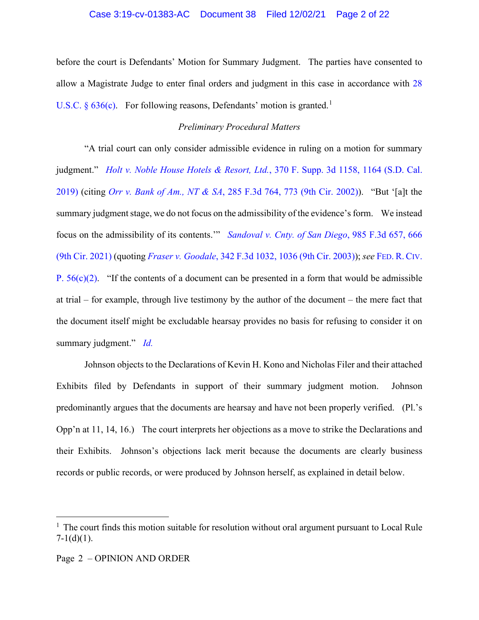### Case 3:19-cv-01383-AC Document 38 Filed 12/02/21 Page 2 of 22

before the court is Defendants' Motion for Summary Judgment. The parties have consented to allow a Magistrate Judge to enter final orders and judgment in this case in accordance with 28 U.S.C.  $\delta$  636(c). For following reasons, Defendants' motion is granted.<sup>1</sup>

# *Preliminary Procedural Matters*

"A trial court can only consider admissible evidence in ruling on a motion for summary judgment." *Holt v. Noble House Hotels & Resort, Ltd.*, 370 F. Supp. 3d 1158, 1164 (S.D. Cal. 2019) (citing *Orr v. Bank of Am., NT & SA*, 285 F.3d 764, 773 (9th Cir. 2002)). "But '[a]t the summary judgment stage, we do not focus on the admissibility of the evidence's form. We instead focus on the admissibility of its contents.'" *Sandoval v. Cnty. of San Diego*, 985 F.3d 657, 666 (9th Cir. 2021) (quoting *Fraser v. Goodale*, 342 F.3d 1032, 1036 (9th Cir. 2003)); *see* FED. R. CIV. P.  $56(c)(2)$ . "If the contents of a document can be presented in a form that would be admissible at trial – for example, through live testimony by the author of the document – the mere fact that the document itself might be excludable hearsay provides no basis for refusing to consider it on summary judgment." *Id.*

Johnson objects to the Declarations of Kevin H. Kono and Nicholas Filer and their attached Exhibits filed by Defendants in support of their summary judgment motion. Johnson predominantly argues that the documents are hearsay and have not been properly verified. (Pl.'s Opp'n at 11, 14, 16.) The court interprets her objections as a move to strike the Declarations and their Exhibits. Johnson's objections lack merit because the documents are clearly business records or public records, or were produced by Johnson herself, as explained in detail below.

 $1$  The court finds this motion suitable for resolution without oral argument pursuant to Local Rule  $7-1(d)(1)$ .

Page 2 – OPINION AND ORDER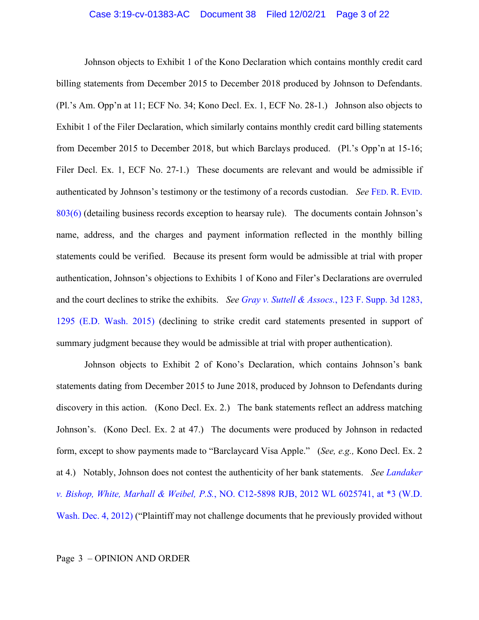Johnson objects to Exhibit 1 of the Kono Declaration which contains monthly credit card billing statements from December 2015 to December 2018 produced by Johnson to Defendants. (Pl.'s Am. Opp'n at 11; ECF No. 34; Kono Decl. Ex. 1, ECF No. 28-1.) Johnson also objects to Exhibit 1 of the Filer Declaration, which similarly contains monthly credit card billing statements from December 2015 to December 2018, but which Barclays produced. (Pl.'s Opp'n at 15-16; Filer Decl. Ex. 1, ECF No. 27-1.) These documents are relevant and would be admissible if authenticated by Johnson's testimony or the testimony of a records custodian. *See* FED. R. EVID. 803(6) (detailing business records exception to hearsay rule). The documents contain Johnson's name, address, and the charges and payment information reflected in the monthly billing statements could be verified. Because its present form would be admissible at trial with proper authentication, Johnson's objections to Exhibits 1 of Kono and Filer's Declarations are overruled and the court declines to strike the exhibits. *See Gray v. Suttell & Assocs.*, 123 F. Supp. 3d 1283, 1295 (E.D. Wash. 2015) (declining to strike credit card statements presented in support of summary judgment because they would be admissible at trial with proper authentication).

Johnson objects to Exhibit 2 of Kono's Declaration, which contains Johnson's bank statements dating from December 2015 to June 2018, produced by Johnson to Defendants during discovery in this action. (Kono Decl. Ex. 2.) The bank statements reflect an address matching Johnson's. (Kono Decl. Ex. 2 at 47.) The documents were produced by Johnson in redacted form, except to show payments made to "Barclaycard Visa Apple." (*See, e.g.,* Kono Decl. Ex. 2 at 4.) Notably, Johnson does not contest the authenticity of her bank statements. *See Landaker v. Bishop, White, Marhall & Weibel, P.S.*, NO. C12-5898 RJB, 2012 WL 6025741, at \*3 (W.D. Wash. Dec. 4, 2012) ("Plaintiff may not challenge documents that he previously provided without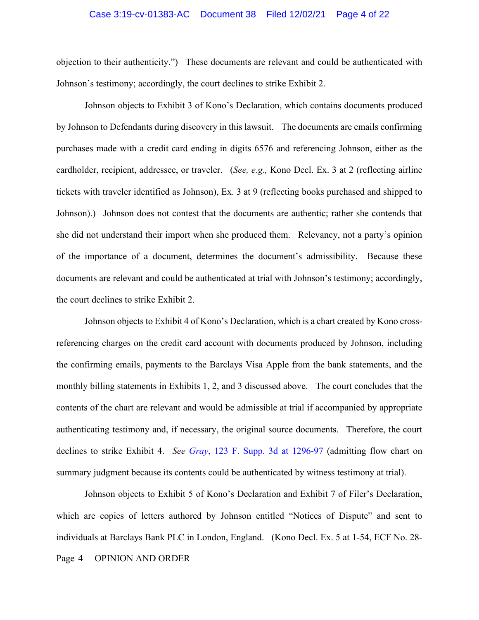### Case 3:19-cv-01383-AC Document 38 Filed 12/02/21 Page 4 of 22

objection to their authenticity.") These documents are relevant and could be authenticated with Johnson's testimony; accordingly, the court declines to strike Exhibit 2.

Johnson objects to Exhibit 3 of Kono's Declaration, which contains documents produced by Johnson to Defendants during discovery in this lawsuit. The documents are emails confirming purchases made with a credit card ending in digits 6576 and referencing Johnson, either as the cardholder, recipient, addressee, or traveler. (*See, e.g.,* Kono Decl. Ex. 3 at 2 (reflecting airline tickets with traveler identified as Johnson), Ex. 3 at 9 (reflecting books purchased and shipped to Johnson).) Johnson does not contest that the documents are authentic; rather she contends that she did not understand their import when she produced them. Relevancy, not a party's opinion of the importance of a document, determines the document's admissibility. Because these documents are relevant and could be authenticated at trial with Johnson's testimony; accordingly, the court declines to strike Exhibit 2.

Johnson objects to Exhibit 4 of Kono's Declaration, which is a chart created by Kono crossreferencing charges on the credit card account with documents produced by Johnson, including the confirming emails, payments to the Barclays Visa Apple from the bank statements, and the monthly billing statements in Exhibits 1, 2, and 3 discussed above. The court concludes that the contents of the chart are relevant and would be admissible at trial if accompanied by appropriate authenticating testimony and, if necessary, the original source documents. Therefore, the court declines to strike Exhibit 4. *See Gray*, 123 F. Supp. 3d at 1296-97 (admitting flow chart on summary judgment because its contents could be authenticated by witness testimony at trial).

Page 4 – OPINION AND ORDER Johnson objects to Exhibit 5 of Kono's Declaration and Exhibit 7 of Filer's Declaration, which are copies of letters authored by Johnson entitled "Notices of Dispute" and sent to individuals at Barclays Bank PLC in London, England. (Kono Decl. Ex. 5 at 1-54, ECF No. 28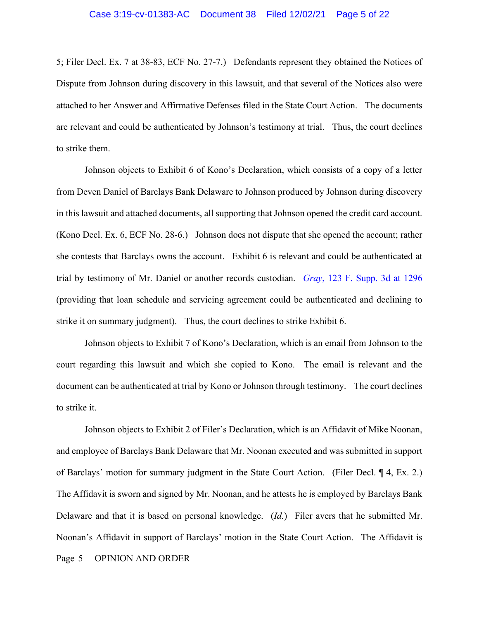5; Filer Decl. Ex. 7 at 38-83, ECF No. 27-7.) Defendants represent they obtained the Notices of Dispute from Johnson during discovery in this lawsuit, and that several of the Notices also were attached to her Answer and Affirmative Defenses filed in the State Court Action. The documents are relevant and could be authenticated by Johnson's testimony at trial. Thus, the court declines to strike them.

Johnson objects to Exhibit 6 of Kono's Declaration, which consists of a copy of a letter from Deven Daniel of Barclays Bank Delaware to Johnson produced by Johnson during discovery in this lawsuit and attached documents, all supporting that Johnson opened the credit card account. (Kono Decl. Ex. 6, ECF No. 28-6.) Johnson does not dispute that she opened the account; rather she contests that Barclays owns the account. Exhibit 6 is relevant and could be authenticated at trial by testimony of Mr. Daniel or another records custodian. *Gray*, 123 F. Supp. 3d at 1296 (providing that loan schedule and servicing agreement could be authenticated and declining to strike it on summary judgment). Thus, the court declines to strike Exhibit 6.

Johnson objects to Exhibit 7 of Kono's Declaration, which is an email from Johnson to the court regarding this lawsuit and which she copied to Kono. The email is relevant and the document can be authenticated at trial by Kono or Johnson through testimony. The court declines to strike it.

Page 5 – OPINION AND ORDER Johnson objects to Exhibit 2 of Filer's Declaration, which is an Affidavit of Mike Noonan, and employee of Barclays Bank Delaware that Mr. Noonan executed and was submitted in support of Barclays' motion for summary judgment in the State Court Action. (Filer Decl. ¶ 4, Ex. 2.) The Affidavit is sworn and signed by Mr. Noonan, and he attests he is employed by Barclays Bank Delaware and that it is based on personal knowledge. (*Id.*) Filer avers that he submitted Mr. Noonan's Affidavit in support of Barclays' motion in the State Court Action. The Affidavit is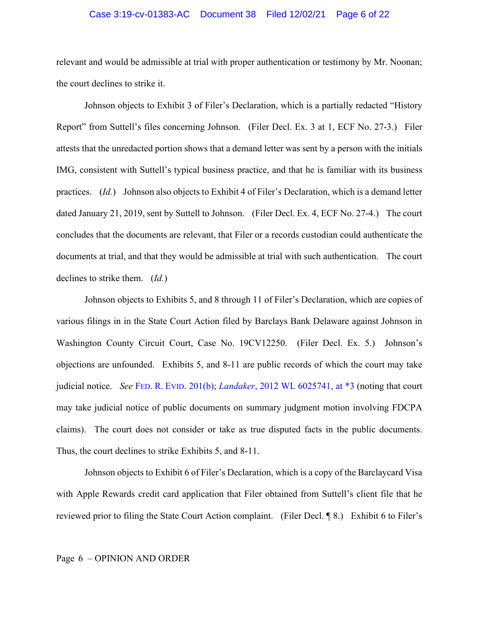# Case 3:19-cv-01383-AC Document 38 Filed 12/02/21 Page 6 of 22

relevant and would be admissible at trial with proper authentication or testimony by Mr. Noonan; the court declines to strike it.

Johnson objects to Exhibit 3 of Filer's Declaration, which is a partially redacted "History Report" from Suttell's files concerning Johnson. (Filer Decl. Ex. 3 at 1, ECF No. 27-3.) Filer attests that the unredacted portion shows that a demand letter was sent by a person with the initials IMG, consistent with Suttell's typical business practice, and that he is familiar with its business practices. (*Id.*) Johnson also objects to Exhibit 4 of Filer's Declaration, which is a demand letter dated January 21, 2019, sent by Suttell to Johnson. (Filer Decl. Ex. 4, ECF No. 27-4.) The court concludes that the documents are relevant, that Filer or a records custodian could authenticate the documents at trial, and that they would be admissible at trial with such authentication. The court declines to strike them. (*Id.*)

Johnson objects to Exhibits 5, and 8 through 11 of Filer's Declaration, which are copies of various filings in in the State Court Action filed by Barclays Bank Delaware against Johnson in Washington County Circuit Court, Case No. 19CV12250. (Filer Decl. Ex. 5.) Johnson's objections are unfounded. Exhibits 5, and 8-11 are public records of which the court may take judicial notice. *See* FED. R. EVID. 201(b); *Landaker*, 2012 WL 6025741, at \*3 (noting that court may take judicial notice of public documents on summary judgment motion involving FDCPA claims). The court does not consider or take as true disputed facts in the public documents. Thus, the court declines to strike Exhibits 5, and 8-11.

Johnson objects to Exhibit 6 of Filer's Declaration, which is a copy of the Barclaycard Visa with Apple Rewards credit card application that Filer obtained from Suttell's client file that he reviewed prior to filing the State Court Action complaint. (Filer Decl. ¶ 8.) Exhibit 6 to Filer's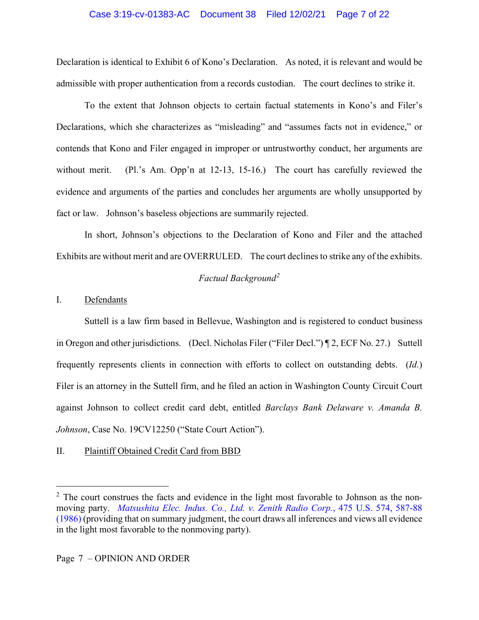# Case 3:19-cv-01383-AC Document 38 Filed 12/02/21 Page 7 of 22

Declaration is identical to Exhibit 6 of Kono's Declaration. As noted, it is relevant and would be admissible with proper authentication from a records custodian. The court declines to strike it.

To the extent that Johnson objects to certain factual statements in Kono's and Filer's Declarations, which she characterizes as "misleading" and "assumes facts not in evidence," or contends that Kono and Filer engaged in improper or untrustworthy conduct, her arguments are without merit. (Pl.'s Am. Opp'n at 12-13, 15-16.) The court has carefully reviewed the evidence and arguments of the parties and concludes her arguments are wholly unsupported by fact or law. Johnson's baseless objections are summarily rejected.

In short, Johnson's objections to the Declaration of Kono and Filer and the attached Exhibits are without merit and are OVERRULED. The court declines to strike any of the exhibits.

# *Factual Background<sup>2</sup>*

# I. Defendants

Suttell is a law firm based in Bellevue, Washington and is registered to conduct business in Oregon and other jurisdictions. (Decl. Nicholas Filer ("Filer Decl.") ¶ 2, ECF No. 27.) Suttell frequently represents clients in connection with efforts to collect on outstanding debts. (*Id.*) Filer is an attorney in the Suttell firm, and he filed an action in Washington County Circuit Court against Johnson to collect credit card debt, entitled *Barclays Bank Delaware v. Amanda B. Johnson*, Case No. 19CV12250 ("State Court Action").

# II. Plaintiff Obtained Credit Card from BBD

 $2\degree$  The court construes the facts and evidence in the light most favorable to Johnson as the nonmoving party. *Matsushita Elec. Indus. Co., Ltd. v. Zenith Radio Corp.*, 475 U.S. 574, 587-88 (1986) (providing that on summary judgment, the court draws all inferences and views all evidence in the light most favorable to the nonmoving party).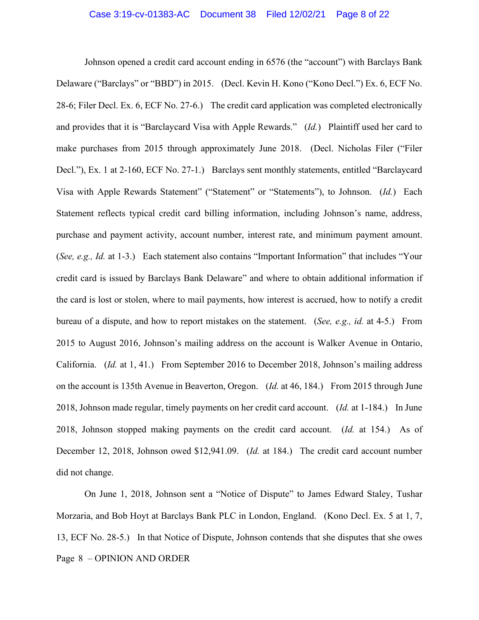Johnson opened a credit card account ending in 6576 (the "account") with Barclays Bank Delaware ("Barclays" or "BBD") in 2015. (Decl. Kevin H. Kono ("Kono Decl.") Ex. 6, ECF No. 28-6; Filer Decl. Ex. 6, ECF No. 27-6.) The credit card application was completed electronically and provides that it is "Barclaycard Visa with Apple Rewards." (*Id.*) Plaintiff used her card to make purchases from 2015 through approximately June 2018. (Decl. Nicholas Filer ("Filer Decl."), Ex. 1 at 2-160, ECF No. 27-1.) Barclays sent monthly statements, entitled "Barclaycard Visa with Apple Rewards Statement" ("Statement" or "Statements"), to Johnson. (*Id.*) Each Statement reflects typical credit card billing information, including Johnson's name, address, purchase and payment activity, account number, interest rate, and minimum payment amount. (*See, e.g., Id.* at 1-3.) Each statement also contains "Important Information" that includes "Your credit card is issued by Barclays Bank Delaware" and where to obtain additional information if the card is lost or stolen, where to mail payments, how interest is accrued, how to notify a credit bureau of a dispute, and how to report mistakes on the statement. (*See, e.g., id.* at 4-5.) From 2015 to August 2016, Johnson's mailing address on the account is Walker Avenue in Ontario, California. (*Id.* at 1, 41.) From September 2016 to December 2018, Johnson's mailing address on the account is 135th Avenue in Beaverton, Oregon. (*Id.* at 46, 184.) From 2015 through June 2018, Johnson made regular, timely payments on her credit card account. (*Id.* at 1-184.) In June 2018, Johnson stopped making payments on the credit card account. (*Id.* at 154.) As of December 12, 2018, Johnson owed \$12,941.09. (*Id.* at 184.) The credit card account number did not change.

Page 8 – OPINION AND ORDER On June 1, 2018, Johnson sent a "Notice of Dispute" to James Edward Staley, Tushar Morzaria, and Bob Hoyt at Barclays Bank PLC in London, England. (Kono Decl. Ex. 5 at 1, 7, 13, ECF No. 28-5.) In that Notice of Dispute, Johnson contends that she disputes that she owes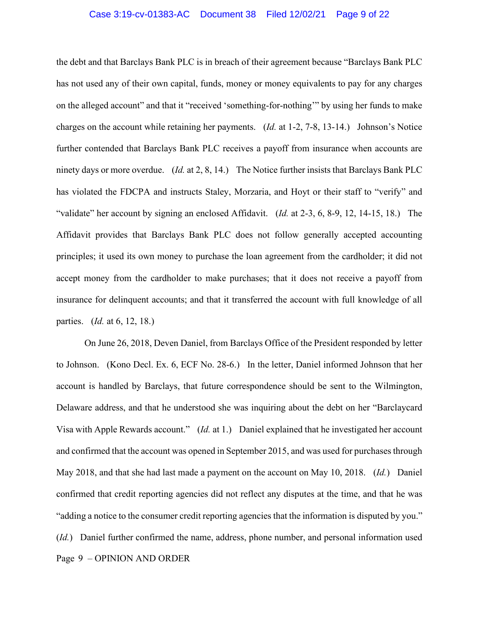### Case 3:19-cv-01383-AC Document 38 Filed 12/02/21 Page 9 of 22

the debt and that Barclays Bank PLC is in breach of their agreement because "Barclays Bank PLC has not used any of their own capital, funds, money or money equivalents to pay for any charges on the alleged account" and that it "received 'something-for-nothing'" by using her funds to make charges on the account while retaining her payments. (*Id.* at 1-2, 7-8, 13-14.) Johnson's Notice further contended that Barclays Bank PLC receives a payoff from insurance when accounts are ninety days or more overdue. (*Id.* at 2, 8, 14.) The Notice further insists that Barclays Bank PLC has violated the FDCPA and instructs Staley, Morzaria, and Hoyt or their staff to "verify" and "validate" her account by signing an enclosed Affidavit. (*Id.* at 2-3, 6, 8-9, 12, 14-15, 18.) The Affidavit provides that Barclays Bank PLC does not follow generally accepted accounting principles; it used its own money to purchase the loan agreement from the cardholder; it did not accept money from the cardholder to make purchases; that it does not receive a payoff from insurance for delinquent accounts; and that it transferred the account with full knowledge of all parties. (*Id.* at 6, 12, 18.)

Page 9 – OPINION AND ORDER On June 26, 2018, Deven Daniel, from Barclays Office of the President responded by letter to Johnson. (Kono Decl. Ex. 6, ECF No. 28-6.) In the letter, Daniel informed Johnson that her account is handled by Barclays, that future correspondence should be sent to the Wilmington, Delaware address, and that he understood she was inquiring about the debt on her "Barclaycard Visa with Apple Rewards account." (*Id.* at 1.) Daniel explained that he investigated her account and confirmed that the account was opened in September 2015, and was used for purchases through May 2018, and that she had last made a payment on the account on May 10, 2018. (*Id.*) Daniel confirmed that credit reporting agencies did not reflect any disputes at the time, and that he was "adding a notice to the consumer credit reporting agencies that the information is disputed by you." (*Id.*) Daniel further confirmed the name, address, phone number, and personal information used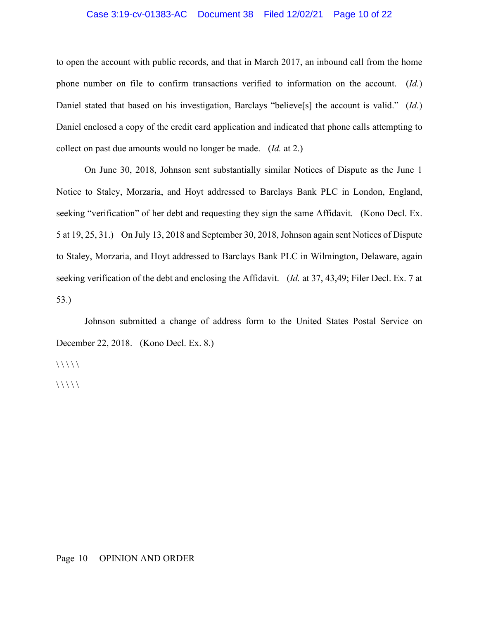# Case 3:19-cv-01383-AC Document 38 Filed 12/02/21 Page 10 of 22

to open the account with public records, and that in March 2017, an inbound call from the home phone number on file to confirm transactions verified to information on the account. (*Id.*) Daniel stated that based on his investigation, Barclays "believe[s] the account is valid." (*Id.*) Daniel enclosed a copy of the credit card application and indicated that phone calls attempting to collect on past due amounts would no longer be made. (*Id.* at 2.)

On June 30, 2018, Johnson sent substantially similar Notices of Dispute as the June 1 Notice to Staley, Morzaria, and Hoyt addressed to Barclays Bank PLC in London, England, seeking "verification" of her debt and requesting they sign the same Affidavit. (Kono Decl. Ex. 5 at 19, 25, 31.) On July 13, 2018 and September 30, 2018, Johnson again sent Notices of Dispute to Staley, Morzaria, and Hoyt addressed to Barclays Bank PLC in Wilmington, Delaware, again seeking verification of the debt and enclosing the Affidavit. (*Id.* at 37, 43,49; Filer Decl. Ex. 7 at 53.)

Johnson submitted a change of address form to the United States Postal Service on December 22, 2018. (Kono Decl. Ex. 8.)

 $\frac{1}{1}$ 

 $\frac{1}{1}$ 

# Page 10 – OPINION AND ORDER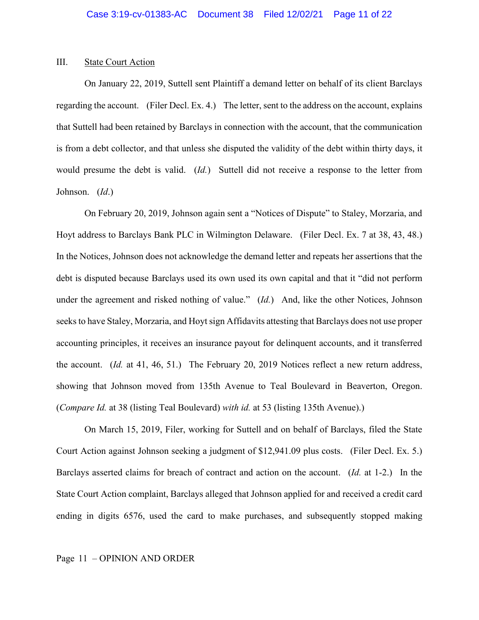#### III. State Court Action

On January 22, 2019, Suttell sent Plaintiff a demand letter on behalf of its client Barclays regarding the account. (Filer Decl. Ex. 4.) The letter, sent to the address on the account, explains that Suttell had been retained by Barclays in connection with the account, that the communication is from a debt collector, and that unless she disputed the validity of the debt within thirty days, it would presume the debt is valid. (*Id.*) Suttell did not receive a response to the letter from Johnson. (*Id*.)

On February 20, 2019, Johnson again sent a "Notices of Dispute" to Staley, Morzaria, and Hoyt address to Barclays Bank PLC in Wilmington Delaware. (Filer Decl. Ex. 7 at 38, 43, 48.) In the Notices, Johnson does not acknowledge the demand letter and repeats her assertions that the debt is disputed because Barclays used its own used its own capital and that it "did not perform under the agreement and risked nothing of value." (*Id.*) And, like the other Notices, Johnson seeks to have Staley, Morzaria, and Hoyt sign Affidavits attesting that Barclays does not use proper accounting principles, it receives an insurance payout for delinquent accounts, and it transferred the account. (*Id.* at 41, 46, 51.) The February 20, 2019 Notices reflect a new return address, showing that Johnson moved from 135th Avenue to Teal Boulevard in Beaverton, Oregon. (*Compare Id.* at 38 (listing Teal Boulevard) *with id.* at 53 (listing 135th Avenue).)

On March 15, 2019, Filer, working for Suttell and on behalf of Barclays, filed the State Court Action against Johnson seeking a judgment of \$12,941.09 plus costs. (Filer Decl. Ex. 5.) Barclays asserted claims for breach of contract and action on the account. (*Id.* at 1-2.) In the State Court Action complaint, Barclays alleged that Johnson applied for and received a credit card ending in digits 6576, used the card to make purchases, and subsequently stopped making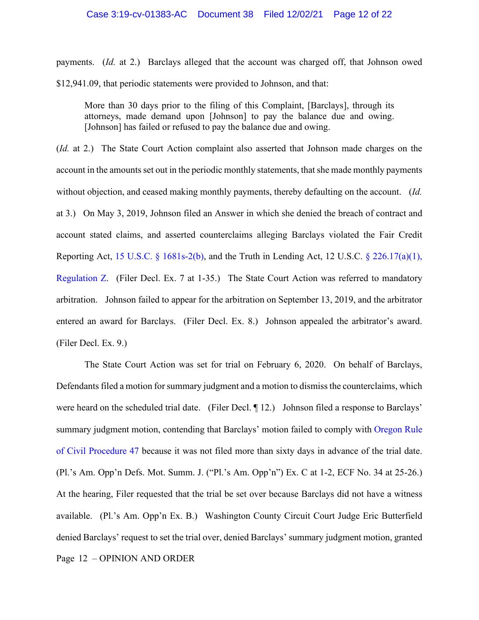payments. (*Id.* at 2.) Barclays alleged that the account was charged off, that Johnson owed \$12,941.09, that periodic statements were provided to Johnson, and that:

More than 30 days prior to the filing of this Complaint, [Barclays], through its attorneys, made demand upon [Johnson] to pay the balance due and owing. [Johnson] has failed or refused to pay the balance due and owing.

(*Id.* at 2.) The State Court Action complaint also asserted that Johnson made charges on the account in the amounts set out in the periodic monthly statements, that she made monthly payments without objection, and ceased making monthly payments, thereby defaulting on the account. (*Id.* at 3.) On May 3, 2019, Johnson filed an Answer in which she denied the breach of contract and account stated claims, and asserted counterclaims alleging Barclays violated the Fair Credit Reporting Act, 15 U.S.C.  $\S$  1681s-2(b), and the Truth in Lending Act, 12 U.S.C.  $\S$  226.17(a)(1), Regulation Z. (Filer Decl. Ex. 7 at 1-35.) The State Court Action was referred to mandatory arbitration. Johnson failed to appear for the arbitration on September 13, 2019, and the arbitrator entered an award for Barclays. (Filer Decl. Ex. 8.) Johnson appealed the arbitrator's award. (Filer Decl. Ex. 9.)

Page 12 – OPINION AND ORDER The State Court Action was set for trial on February 6, 2020. On behalf of Barclays, Defendants filed a motion for summary judgment and a motion to dismiss the counterclaims, which were heard on the scheduled trial date. (Filer Decl. ¶ 12.) Johnson filed a response to Barclays' summary judgment motion, contending that Barclays' motion failed to comply with Oregon Rule of Civil Procedure 47 because it was not filed more than sixty days in advance of the trial date. (Pl.'s Am. Opp'n Defs. Mot. Summ. J. ("Pl.'s Am. Opp'n") Ex. C at 1-2, ECF No. 34 at 25-26.) At the hearing, Filer requested that the trial be set over because Barclays did not have a witness available. (Pl.'s Am. Opp'n Ex. B.) Washington County Circuit Court Judge Eric Butterfield denied Barclays' request to set the trial over, denied Barclays' summary judgment motion, granted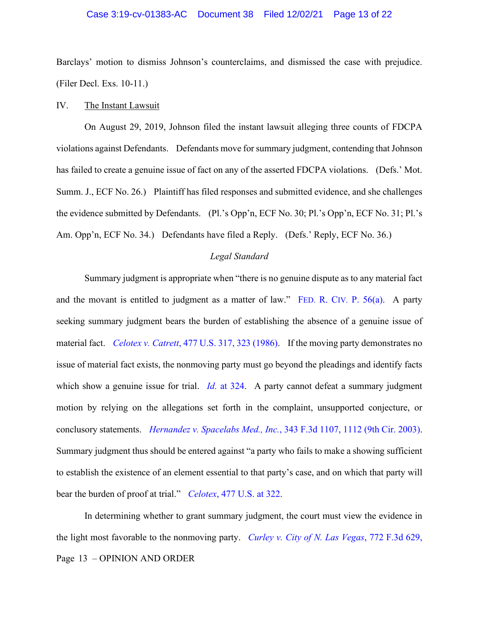## Case 3:19-cv-01383-AC Document 38 Filed 12/02/21 Page 13 of 22

Barclays' motion to dismiss Johnson's counterclaims, and dismissed the case with prejudice. (Filer Decl. Exs. 10-11.)

#### IV. The Instant Lawsuit

On August 29, 2019, Johnson filed the instant lawsuit alleging three counts of FDCPA violations against Defendants. Defendants move for summary judgment, contending that Johnson has failed to create a genuine issue of fact on any of the asserted FDCPA violations. (Defs.' Mot. Summ. J., ECF No. 26.) Plaintiff has filed responses and submitted evidence, and she challenges the evidence submitted by Defendants. (Pl.'s Opp'n, ECF No. 30; Pl.'s Opp'n, ECF No. 31; Pl.'s Am. Opp'n, ECF No. 34.) Defendants have filed a Reply. (Defs.' Reply, ECF No. 36.)

#### *Legal Standard*

Summary judgment is appropriate when "there is no genuine dispute as to any material fact and the movant is entitled to judgment as a matter of law." FED. R. CIV. P. 56(a). A party seeking summary judgment bears the burden of establishing the absence of a genuine issue of material fact. *Celotex v. Catrett*, 477 U.S. 317, 323 (1986). If the moving party demonstrates no issue of material fact exists, the nonmoving party must go beyond the pleadings and identify facts which show a genuine issue for trial. *Id.* at 324. A party cannot defeat a summary judgment motion by relying on the allegations set forth in the complaint, unsupported conjecture, or conclusory statements. *Hernandez v. Spacelabs Med., Inc.*, 343 F.3d 1107, 1112 (9th Cir. 2003). Summary judgment thus should be entered against "a party who fails to make a showing sufficient to establish the existence of an element essential to that party's case, and on which that party will bear the burden of proof at trial." *Celotex*, 477 U.S. at 322.

Page 13 – OPINION AND ORDER In determining whether to grant summary judgment, the court must view the evidence in the light most favorable to the nonmoving party. *Curley v. City of N. Las Vegas*, 772 F.3d 629,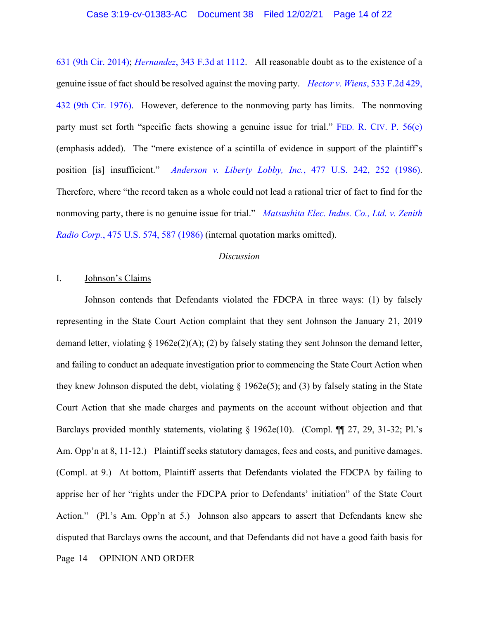631 (9th Cir. 2014); *Hernandez*, 343 F.3d at 1112. All reasonable doubt as to the existence of a genuine issue of fact should be resolved against the moving party. *Hector v. Wiens*, 533 F.2d 429, 432 (9th Cir. 1976). However, deference to the nonmoving party has limits. The nonmoving party must set forth "specific facts showing a genuine issue for trial." FED. R. CIV. P. 56(e) (emphasis added). The "mere existence of a scintilla of evidence in support of the plaintiff's position [is] insufficient." *Anderson v. Liberty Lobby, Inc.*, 477 U.S. 242, 252 (1986). Therefore, where "the record taken as a whole could not lead a rational trier of fact to find for the nonmoving party, there is no genuine issue for trial." *Matsushita Elec. Indus. Co., Ltd. v. Zenith Radio Corp.*, 475 U.S. 574, 587 (1986) (internal quotation marks omitted).

### *Discussion*

# I. Johnson's Claims

Page 14 – OPINION AND ORDER Johnson contends that Defendants violated the FDCPA in three ways: (1) by falsely representing in the State Court Action complaint that they sent Johnson the January 21, 2019 demand letter, violating § 1962e(2)(A); (2) by falsely stating they sent Johnson the demand letter, and failing to conduct an adequate investigation prior to commencing the State Court Action when they knew Johnson disputed the debt, violating  $\S 1962e(5)$ ; and (3) by falsely stating in the State Court Action that she made charges and payments on the account without objection and that Barclays provided monthly statements, violating § 1962e(10). (Compl. ¶¶ 27, 29, 31-32; Pl.'s Am. Opp'n at 8, 11-12.) Plaintiff seeks statutory damages, fees and costs, and punitive damages. (Compl. at 9.) At bottom, Plaintiff asserts that Defendants violated the FDCPA by failing to apprise her of her "rights under the FDCPA prior to Defendants' initiation" of the State Court Action." (Pl.'s Am. Opp'n at 5.) Johnson also appears to assert that Defendants knew she disputed that Barclays owns the account, and that Defendants did not have a good faith basis for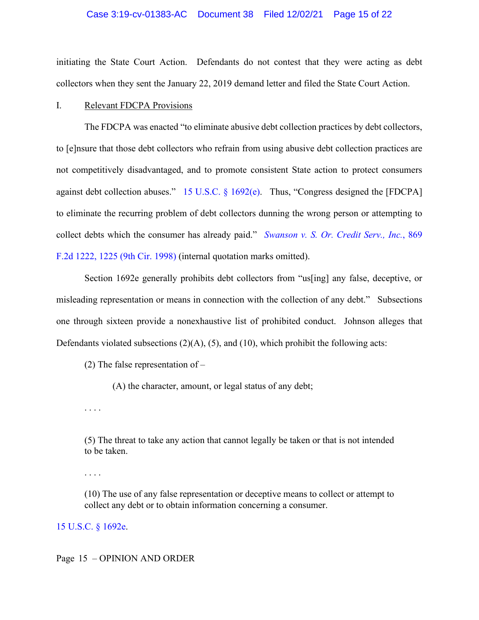#### Case 3:19-cv-01383-AC Document 38 Filed 12/02/21 Page 15 of 22

initiating the State Court Action. Defendants do not contest that they were acting as debt collectors when they sent the January 22, 2019 demand letter and filed the State Court Action.

### I. Relevant FDCPA Provisions

The FDCPA was enacted "to eliminate abusive debt collection practices by debt collectors, to [e]nsure that those debt collectors who refrain from using abusive debt collection practices are not competitively disadvantaged, and to promote consistent State action to protect consumers against debt collection abuses." 15 U.S.C. § 1692(e). Thus, "Congress designed the [FDCPA] to eliminate the recurring problem of debt collectors dunning the wrong person or attempting to collect debts which the consumer has already paid." *Swanson v. S. Or. Credit Serv., Inc.*, 869 F.2d 1222, 1225 (9th Cir. 1998) (internal quotation marks omitted).

Section 1692e generally prohibits debt collectors from "us[ing] any false, deceptive, or misleading representation or means in connection with the collection of any debt." Subsections one through sixteen provide a nonexhaustive list of prohibited conduct. Johnson alleges that Defendants violated subsections  $(2)(A)$ ,  $(5)$ , and  $(10)$ , which prohibit the following acts:

(2) The false representation of  $-$ 

(A) the character, amount, or legal status of any debt;

. . . .

(5) The threat to take any action that cannot legally be taken or that is not intended to be taken.

. . . .

(10) The use of any false representation or deceptive means to collect or attempt to collect any debt or to obtain information concerning a consumer.

15 U.S.C. § 1692e.

#### Page 15 – OPINION AND ORDER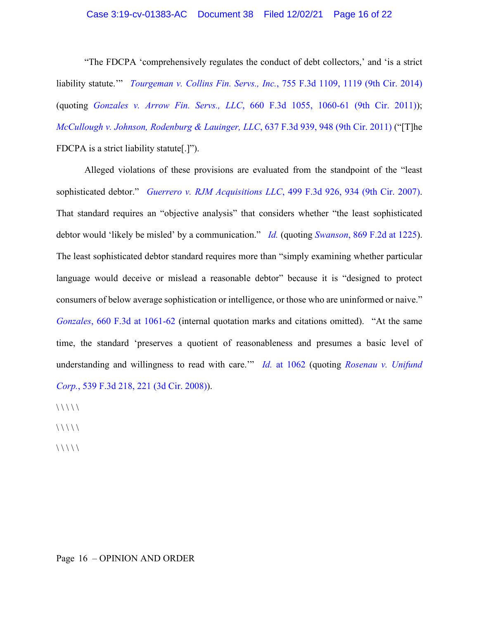### Case 3:19-cv-01383-AC Document 38 Filed 12/02/21 Page 16 of 22

"The FDCPA 'comprehensively regulates the conduct of debt collectors,' and 'is a strict liability statute.'" *Tourgeman v. Collins Fin. Servs., Inc.*, 755 F.3d 1109, 1119 (9th Cir. 2014) (quoting *Gonzales v. Arrow Fin. Servs., LLC*, 660 F.3d 1055, 1060-61 (9th Cir. 2011)); *McCullough v. Johnson, Rodenburg & Lauinger, LLC*, 637 F.3d 939, 948 (9th Cir. 2011) ("[T]he FDCPA is a strict liability statute[.]").

Alleged violations of these provisions are evaluated from the standpoint of the "least sophisticated debtor." *Guerrero v. RJM Acquisitions LLC*, 499 F.3d 926, 934 (9th Cir. 2007). That standard requires an "objective analysis" that considers whether "the least sophisticated debtor would 'likely be misled' by a communication." *Id.* (quoting *Swanson*, 869 F.2d at 1225). The least sophisticated debtor standard requires more than "simply examining whether particular language would deceive or mislead a reasonable debtor" because it is "designed to protect consumers of below average sophistication or intelligence, or those who are uninformed or naive." *Gonzales*, 660 F.3d at 1061-62 (internal quotation marks and citations omitted). "At the same time, the standard 'preserves a quotient of reasonableness and presumes a basic level of understanding and willingness to read with care.'" *Id.* at 1062 (quoting *Rosenau v. Unifund Corp.*, 539 F.3d 218, 221 (3d Cir. 2008)).

 $\frac{1}{1}$ 

 $\frac{1}{1}$ 

 $\frac{1}{1}$ 

# Page 16 – OPINION AND ORDER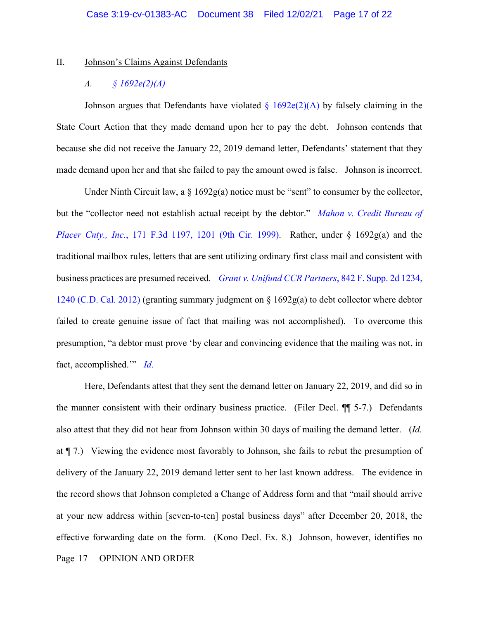#### II. Johnson's Claims Against Defendants

# *A. § 1692e(2)(A)*

Johnson argues that Defendants have violated  $\S 1692e(2)$ (A) by falsely claiming in the State Court Action that they made demand upon her to pay the debt. Johnson contends that because she did not receive the January 22, 2019 demand letter, Defendants' statement that they made demand upon her and that she failed to pay the amount owed is false. Johnson is incorrect.

Under Ninth Circuit law, a  $\S$  1692g(a) notice must be "sent" to consumer by the collector, but the "collector need not establish actual receipt by the debtor." *Mahon v. Credit Bureau of Placer Cnty., Inc.*, 171 F.3d 1197, 1201 (9th Cir. 1999). Rather, under § 1692g(a) and the traditional mailbox rules, letters that are sent utilizing ordinary first class mail and consistent with business practices are presumed received. *Grant v. Unifund CCR Partners*, 842 F. Supp. 2d 1234, 1240 (C.D. Cal. 2012) (granting summary judgment on § 1692g(a) to debt collector where debtor failed to create genuine issue of fact that mailing was not accomplished). To overcome this presumption, "a debtor must prove 'by clear and convincing evidence that the mailing was not, in fact, accomplished.'" *Id.*

Page 17 – OPINION AND ORDER Here, Defendants attest that they sent the demand letter on January 22, 2019, and did so in the manner consistent with their ordinary business practice. (Filer Decl. ¶¶ 5-7.) Defendants also attest that they did not hear from Johnson within 30 days of mailing the demand letter. (*Id.* at ¶ 7.) Viewing the evidence most favorably to Johnson, she fails to rebut the presumption of delivery of the January 22, 2019 demand letter sent to her last known address. The evidence in the record shows that Johnson completed a Change of Address form and that "mail should arrive at your new address within [seven-to-ten] postal business days" after December 20, 2018, the effective forwarding date on the form. (Kono Decl. Ex. 8.) Johnson, however, identifies no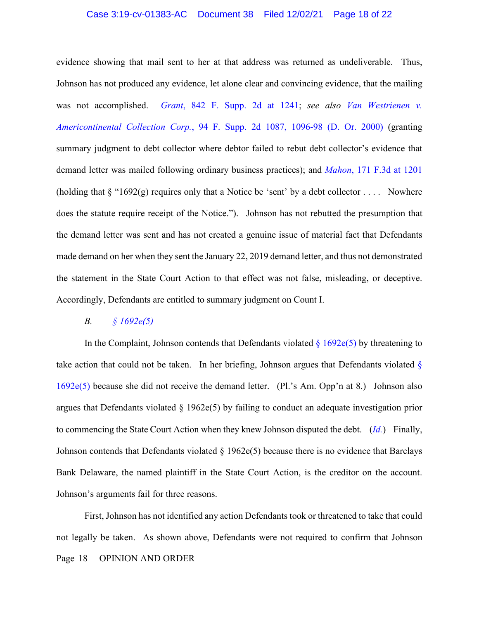### Case 3:19-cv-01383-AC Document 38 Filed 12/02/21 Page 18 of 22

evidence showing that mail sent to her at that address was returned as undeliverable. Thus, Johnson has not produced any evidence, let alone clear and convincing evidence, that the mailing was not accomplished. *Grant*, 842 F. Supp. 2d at 1241; *see also Van Westrienen v. Americontinental Collection Corp.*, 94 F. Supp. 2d 1087, 1096-98 (D. Or. 2000) (granting summary judgment to debt collector where debtor failed to rebut debt collector's evidence that demand letter was mailed following ordinary business practices); and *Mahon*, 171 F.3d at 1201 (holding that  $\S$  "1692(g) requires only that a Notice be 'sent' by a debt collector .... Nowhere does the statute require receipt of the Notice."). Johnson has not rebutted the presumption that the demand letter was sent and has not created a genuine issue of material fact that Defendants made demand on her when they sent the January 22, 2019 demand letter, and thus not demonstrated the statement in the State Court Action to that effect was not false, misleading, or deceptive. Accordingly, Defendants are entitled to summary judgment on Count I.

## *B. § 1692e(5)*

In the Complaint, Johnson contends that Defendants violated  $\S 1692e(5)$  by threatening to take action that could not be taken. In her briefing, Johnson argues that Defendants violated § 1692e(5) because she did not receive the demand letter. (Pl.'s Am. Opp'n at 8.) Johnson also argues that Defendants violated  $\S 1962e(5)$  by failing to conduct an adequate investigation prior to commencing the State Court Action when they knew Johnson disputed the debt. (*Id.*) Finally, Johnson contends that Defendants violated  $\S 1962e(5)$  because there is no evidence that Barclays Bank Delaware, the named plaintiff in the State Court Action, is the creditor on the account. Johnson's arguments fail for three reasons.

Page 18 – OPINION AND ORDER First, Johnson has not identified any action Defendants took or threatened to take that could not legally be taken. As shown above, Defendants were not required to confirm that Johnson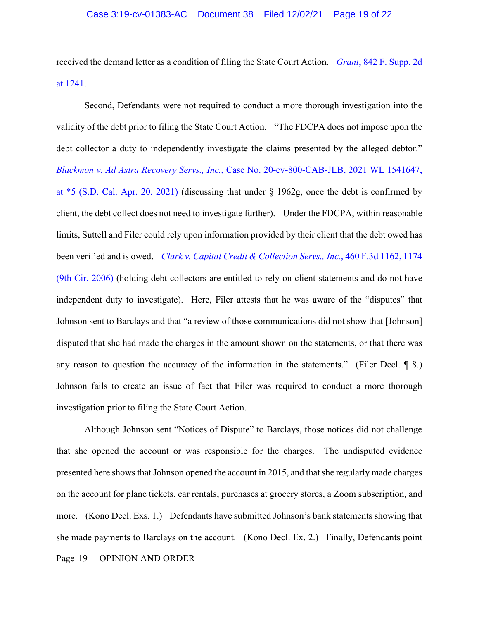received the demand letter as a condition of filing the State Court Action. *Grant*, 842 F. Supp. 2d at 1241.

Second, Defendants were not required to conduct a more thorough investigation into the validity of the debt prior to filing the State Court Action. "The FDCPA does not impose upon the debt collector a duty to independently investigate the claims presented by the alleged debtor." *Blackmon v. Ad Astra Recovery Servs., Inc.*, Case No. 20-cv-800-CAB-JLB, 2021 WL 1541647, at \*5 (S.D. Cal. Apr. 20, 2021) (discussing that under § 1962g, once the debt is confirmed by client, the debt collect does not need to investigate further). Under the FDCPA, within reasonable limits, Suttell and Filer could rely upon information provided by their client that the debt owed has been verified and is owed. *Clark v. Capital Credit & Collection Servs., Inc.*, 460 F.3d 1162, 1174 (9th Cir. 2006) (holding debt collectors are entitled to rely on client statements and do not have independent duty to investigate). Here, Filer attests that he was aware of the "disputes" that Johnson sent to Barclays and that "a review of those communications did not show that [Johnson] disputed that she had made the charges in the amount shown on the statements, or that there was any reason to question the accuracy of the information in the statements." (Filer Decl. ¶ 8.) Johnson fails to create an issue of fact that Filer was required to conduct a more thorough investigation prior to filing the State Court Action.

Page 19 – OPINION AND ORDER Although Johnson sent "Notices of Dispute" to Barclays, those notices did not challenge that she opened the account or was responsible for the charges. The undisputed evidence presented here shows that Johnson opened the account in 2015, and that she regularly made charges on the account for plane tickets, car rentals, purchases at grocery stores, a Zoom subscription, and more. (Kono Decl. Exs. 1.) Defendants have submitted Johnson's bank statements showing that she made payments to Barclays on the account. (Kono Decl. Ex. 2.) Finally, Defendants point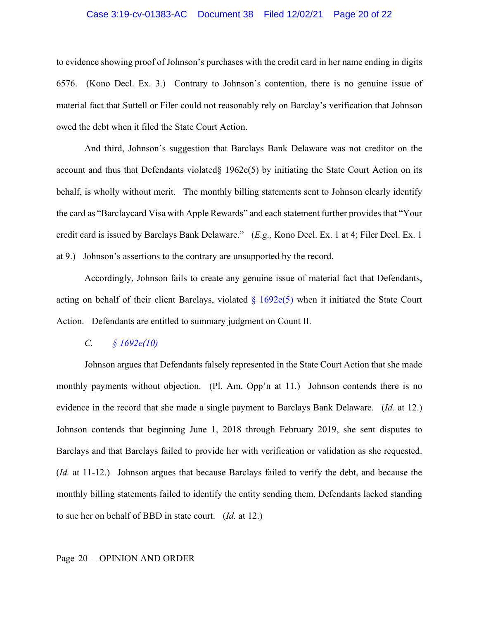### Case 3:19-cv-01383-AC Document 38 Filed 12/02/21 Page 20 of 22

to evidence showing proof of Johnson's purchases with the credit card in her name ending in digits 6576. (Kono Decl. Ex. 3.) Contrary to Johnson's contention, there is no genuine issue of material fact that Suttell or Filer could not reasonably rely on Barclay's verification that Johnson owed the debt when it filed the State Court Action.

And third, Johnson's suggestion that Barclays Bank Delaware was not creditor on the account and thus that Defendants violated§ 1962e(5) by initiating the State Court Action on its behalf, is wholly without merit. The monthly billing statements sent to Johnson clearly identify the card as "Barclaycard Visa with Apple Rewards" and each statement further provides that "Your credit card is issued by Barclays Bank Delaware." (*E.g.,* Kono Decl. Ex. 1 at 4; Filer Decl. Ex. 1 at 9.) Johnson's assertions to the contrary are unsupported by the record.

Accordingly, Johnson fails to create any genuine issue of material fact that Defendants, acting on behalf of their client Barclays, violated  $\S 1692e(5)$  when it initiated the State Court Action. Defendants are entitled to summary judgment on Count II.

# *C. § 1692e(10)*

Johnson argues that Defendants falsely represented in the State Court Action that she made monthly payments without objection. (Pl. Am. Opp'n at 11.) Johnson contends there is no evidence in the record that she made a single payment to Barclays Bank Delaware. (*Id.* at 12.) Johnson contends that beginning June 1, 2018 through February 2019, she sent disputes to Barclays and that Barclays failed to provide her with verification or validation as she requested. (*Id.* at 11-12.) Johnson argues that because Barclays failed to verify the debt, and because the monthly billing statements failed to identify the entity sending them, Defendants lacked standing to sue her on behalf of BBD in state court. (*Id.* at 12.)

#### Page 20 – OPINION AND ORDER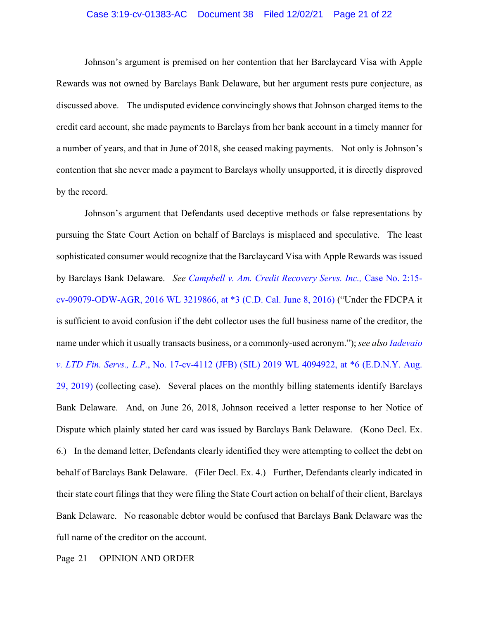### Case 3:19-cv-01383-AC Document 38 Filed 12/02/21 Page 21 of 22

Johnson's argument is premised on her contention that her Barclaycard Visa with Apple Rewards was not owned by Barclays Bank Delaware, but her argument rests pure conjecture, as discussed above. The undisputed evidence convincingly shows that Johnson charged items to the credit card account, she made payments to Barclays from her bank account in a timely manner for a number of years, and that in June of 2018, she ceased making payments. Not only is Johnson's contention that she never made a payment to Barclays wholly unsupported, it is directly disproved by the record.

Johnson's argument that Defendants used deceptive methods or false representations by pursuing the State Court Action on behalf of Barclays is misplaced and speculative. The least sophisticated consumer would recognize that the Barclaycard Visa with Apple Rewards was issued by Barclays Bank Delaware. *See Campbell v. Am. Credit Recovery Servs. Inc.,* Case No. 2:15 cv-09079-ODW-AGR, 2016 WL 3219866, at \*3 (C.D. Cal. June 8, 2016) ("Under the FDCPA it is sufficient to avoid confusion if the debt collector uses the full business name of the creditor, the name under which it usually transacts business, or a commonly-used acronym."); *see also Iadevaio v. LTD Fin. Servs., L.P.*, No. 17-cv-4112 (JFB) (SIL) 2019 WL 4094922, at \*6 (E.D.N.Y. Aug. 29, 2019) (collecting case). Several places on the monthly billing statements identify Barclays Bank Delaware. And, on June 26, 2018, Johnson received a letter response to her Notice of Dispute which plainly stated her card was issued by Barclays Bank Delaware. (Kono Decl. Ex. 6.) In the demand letter, Defendants clearly identified they were attempting to collect the debt on behalf of Barclays Bank Delaware. (Filer Decl. Ex. 4.) Further, Defendants clearly indicated in their state court filings that they were filing the State Court action on behalf of their client, Barclays Bank Delaware. No reasonable debtor would be confused that Barclays Bank Delaware was the full name of the creditor on the account.

Page 21 – OPINION AND ORDER